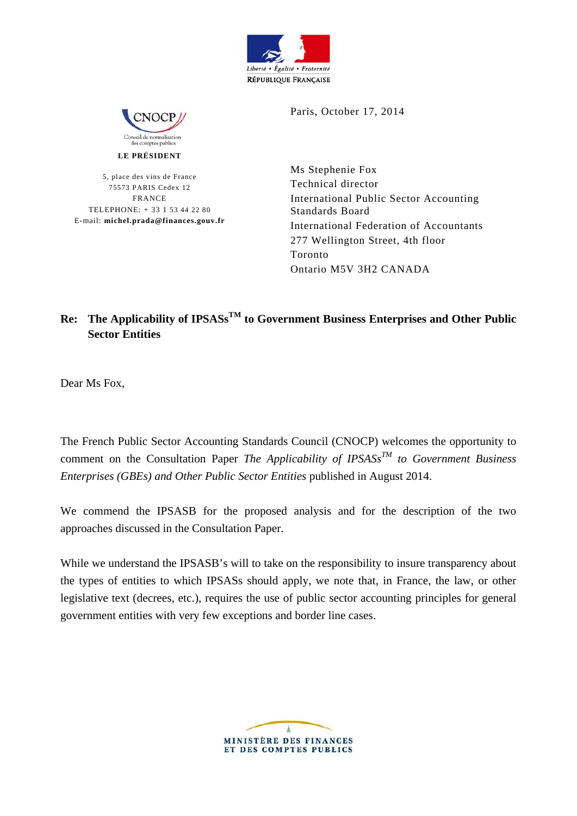



**LE PRÉSIDENT** 

5, place des vins de France 75573 PARIS Cedex 12 FRANCE TELEPHONE: + 33 1 53 44 22 80 E-mail: **michel.prada@finances.gouv.fr** Paris, October 17, 2014

Ms Stephenie Fox Technical director International Public Sector Accounting Standards Board International Federation of Accountants 277 Wellington Street, 4th floor Toronto Ontario M5V 3H2 CANADA

## **Re: The Applicability of IPSASsTM to Government Business Enterprises and Other Public Sector Entities**

Dear Ms Fox,

The French Public Sector Accounting Standards Council (CNOCP) welcomes the opportunity to comment on the Consultation Paper *The Applicability of IPSASs<sup>TM</sup> to Government Business Enterprises (GBEs) and Other Public Sector Entities* published in August 2014.

We commend the IPSASB for the proposed analysis and for the description of the two approaches discussed in the Consultation Paper.

While we understand the IPSASB's will to take on the responsibility to insure transparency about the types of entities to which IPSASs should apply, we note that, in France, the law, or other legislative text (decrees, etc.), requires the use of public sector accounting principles for general government entities with very few exceptions and border line cases.

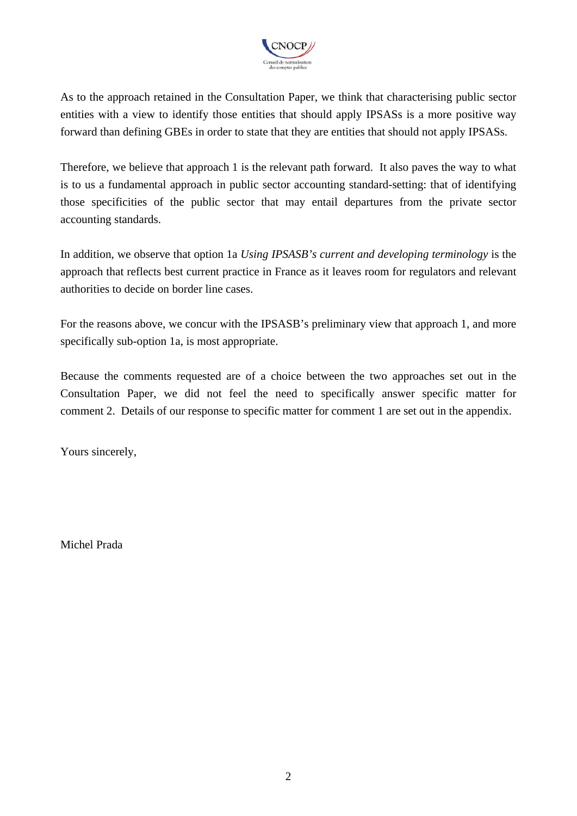

As to the approach retained in the Consultation Paper, we think that characterising public sector entities with a view to identify those entities that should apply IPSASs is a more positive way forward than defining GBEs in order to state that they are entities that should not apply IPSASs.

Therefore, we believe that approach 1 is the relevant path forward. It also paves the way to what is to us a fundamental approach in public sector accounting standard-setting: that of identifying those specificities of the public sector that may entail departures from the private sector accounting standards.

In addition, we observe that option 1a *Using IPSASB's current and developing terminology* is the approach that reflects best current practice in France as it leaves room for regulators and relevant authorities to decide on border line cases.

For the reasons above, we concur with the IPSASB's preliminary view that approach 1, and more specifically sub-option 1a, is most appropriate.

Because the comments requested are of a choice between the two approaches set out in the Consultation Paper, we did not feel the need to specifically answer specific matter for comment 2. Details of our response to specific matter for comment 1 are set out in the appendix.

Yours sincerely,

Michel Prada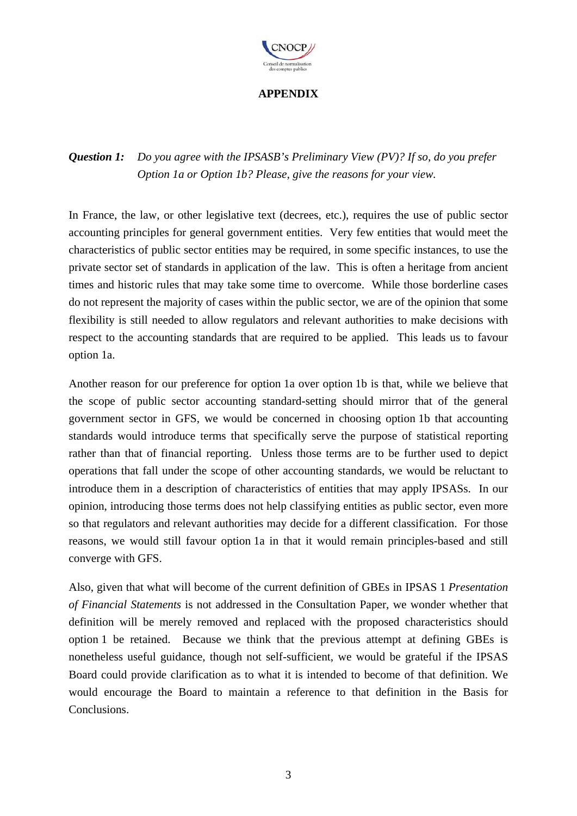

## **APPENDIX**

## *Question 1: Do you agree with the IPSASB's Preliminary View (PV)? If so, do you prefer Option 1a or Option 1b? Please, give the reasons for your view.*

In France, the law, or other legislative text (decrees, etc.), requires the use of public sector accounting principles for general government entities. Very few entities that would meet the characteristics of public sector entities may be required, in some specific instances, to use the private sector set of standards in application of the law. This is often a heritage from ancient times and historic rules that may take some time to overcome. While those borderline cases do not represent the majority of cases within the public sector, we are of the opinion that some flexibility is still needed to allow regulators and relevant authorities to make decisions with respect to the accounting standards that are required to be applied. This leads us to favour option 1a.

Another reason for our preference for option 1a over option 1b is that, while we believe that the scope of public sector accounting standard-setting should mirror that of the general government sector in GFS, we would be concerned in choosing option 1b that accounting standards would introduce terms that specifically serve the purpose of statistical reporting rather than that of financial reporting. Unless those terms are to be further used to depict operations that fall under the scope of other accounting standards, we would be reluctant to introduce them in a description of characteristics of entities that may apply IPSASs. In our opinion, introducing those terms does not help classifying entities as public sector, even more so that regulators and relevant authorities may decide for a different classification. For those reasons, we would still favour option 1a in that it would remain principles-based and still converge with GFS.

Also, given that what will become of the current definition of GBEs in IPSAS 1 *Presentation of Financial Statements* is not addressed in the Consultation Paper, we wonder whether that definition will be merely removed and replaced with the proposed characteristics should option 1 be retained. Because we think that the previous attempt at defining GBEs is nonetheless useful guidance, though not self-sufficient, we would be grateful if the IPSAS Board could provide clarification as to what it is intended to become of that definition. We would encourage the Board to maintain a reference to that definition in the Basis for Conclusions.